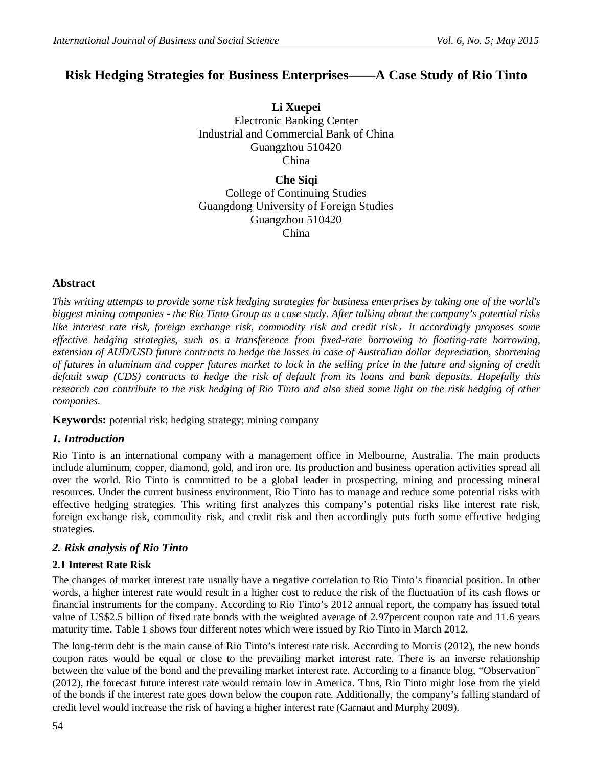# **Risk Hedging Strategies for Business Enterprises——A Case Study of Rio Tinto**

**Li Xuepei** Electronic Banking Center Industrial and Commercial Bank of China Guangzhou 510420 China

**Che Siqi** College of Continuing Studies Guangdong University of Foreign Studies Guangzhou 510420 China

### **Abstract**

*This writing attempts to provide some risk hedging strategies for business enterprises by taking one of the world's biggest mining companies - the Rio Tinto Group as a case study. After talking about the company's potential risks like interest rate risk, foreign exchange risk, commodity risk and credit risk,it accordingly proposes some effective hedging strategies, such as a transference from fixed-rate borrowing to floating-rate borrowing, extension of AUD/USD future contracts to hedge the losses in case of Australian dollar depreciation, shortening of futures in aluminum and copper futures market to lock in the selling price in the future and signing of credit default swap (CDS) contracts to hedge the risk of default from its loans and bank deposits. Hopefully this research can contribute to the risk hedging of Rio Tinto and also shed some light on the risk hedging of other companies.*

**Keywords:** potential risk; hedging strategy; mining company

### *1. Introduction*

Rio Tinto is an international company with a management office in Melbourne, Australia. The main products include aluminum, copper, diamond, gold, and iron ore. Its production and business operation activities spread all over the world. Rio Tinto is committed to be a global leader in prospecting, mining and processing mineral resources. Under the current business environment, Rio Tinto has to manage and reduce some potential risks with effective hedging strategies. This writing first analyzes this company's potential risks like interest rate risk, foreign exchange risk, commodity risk, and credit risk and then accordingly puts forth some effective hedging strategies.

### *2. Risk analysis of Rio Tinto*

### **2.1 Interest Rate Risk**

The changes of market interest rate usually have a negative correlation to Rio Tinto's financial position. In other words, a higher interest rate would result in a higher cost to reduce the risk of the fluctuation of its cash flows or financial instruments for the company. According to Rio Tinto's 2012 annual report, the company has issued total value of US\$2.5 billion of fixed rate bonds with the weighted average of 2.97percent coupon rate and 11.6 years maturity time. Table 1 shows four different notes which were issued by Rio Tinto in March 2012.

The long-term debt is the main cause of Rio Tinto's interest rate risk. According to Morris (2012), the new bonds coupon rates would be equal or close to the prevailing market interest rate. There is an inverse relationship between the value of the bond and the prevailing market interest rate. According to a finance blog, "Observation" (2012), the forecast future interest rate would remain low in America. Thus, Rio Tinto might lose from the yield of the bonds if the interest rate goes down below the coupon rate. Additionally, the company's falling standard of credit level would increase the risk of having a higher interest rate (Garnaut and Murphy 2009).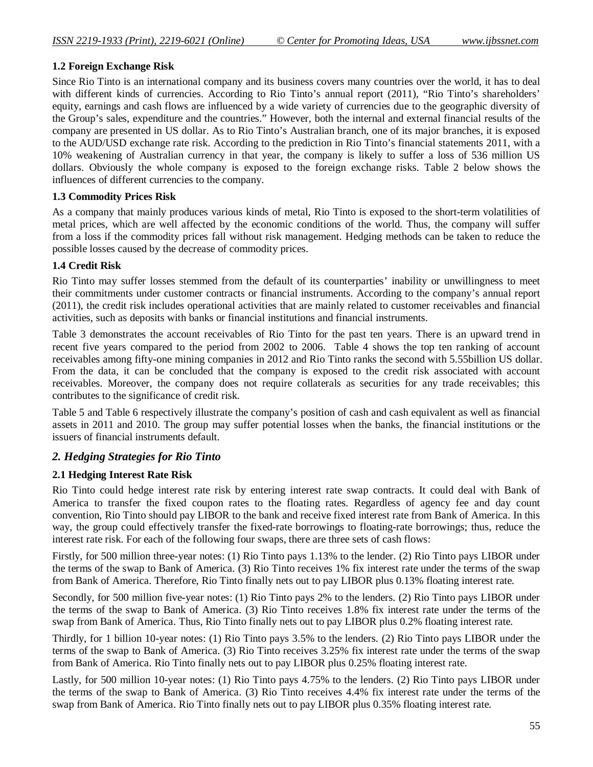### **1.2 Foreign Exchange Risk**

Since Rio Tinto is an international company and its business covers many countries over the world, it has to deal with different kinds of currencies. According to Rio Tinto's annual report (2011), "Rio Tinto's shareholders' equity, earnings and cash flows are influenced by a wide variety of currencies due to the geographic diversity of the Group's sales, expenditure and the countries." However, both the internal and external financial results of the company are presented in US dollar. As to Rio Tinto's Australian branch, one of its major branches, it is exposed to the AUD/USD exchange rate risk. According to the prediction in Rio Tinto's financial statements 2011, with a 10% weakening of Australian currency in that year, the company is likely to suffer a loss of 536 million US dollars. Obviously the whole company is exposed to the foreign exchange risks. Table 2 below shows the influences of different currencies to the company.

### **1.3 Commodity Prices Risk**

As a company that mainly produces various kinds of metal, Rio Tinto is exposed to the short-term volatilities of metal prices, which are well affected by the economic conditions of the world. Thus, the company will suffer from a loss if the commodity prices fall without risk management. Hedging methods can be taken to reduce the possible losses caused by the decrease of commodity prices.

### **1.4 Credit Risk**

Rio Tinto may suffer losses stemmed from the default of its counterparties' inability or unwillingness to meet their commitments under customer contracts or financial instruments. According to the company's annual report (2011), the credit risk includes operational activities that are mainly related to customer receivables and financial activities, such as deposits with banks or financial institutions and financial instruments.

Table 3 demonstrates the account receivables of Rio Tinto for the past ten years. There is an upward trend in recent five years compared to the period from 2002 to 2006. Table 4 shows the top ten ranking of account receivables among fifty-one mining companies in 2012 and Rio Tinto ranks the second with 5.55billion US dollar. From the data, it can be concluded that the company is exposed to the credit risk associated with account receivables. Moreover, the company does not require collaterals as securities for any trade receivables; this contributes to the significance of credit risk.

Table 5 and Table 6 respectively illustrate the company's position of cash and cash equivalent as well as financial assets in 2011 and 2010. The group may suffer potential losses when the banks, the financial institutions or the issuers of financial instruments default.

### *2. Hedging Strategies for Rio Tinto*

### **2.1 Hedging Interest Rate Risk**

Rio Tinto could hedge interest rate risk by entering interest rate swap contracts. It could deal with Bank of America to transfer the fixed coupon rates to the floating rates. Regardless of agency fee and day count convention, Rio Tinto should pay LIBOR to the bank and receive fixed interest rate from Bank of America. In this way, the group could effectively transfer the fixed-rate borrowings to floating-rate borrowings; thus, reduce the interest rate risk. For each of the following four swaps, there are three sets of cash flows:

Firstly, for 500 million three-year notes: (1) Rio Tinto pays 1.13% to the lender. (2) Rio Tinto pays LIBOR under the terms of the swap to Bank of America. (3) Rio Tinto receives 1% fix interest rate under the terms of the swap from Bank of America. Therefore, Rio Tinto finally nets out to pay LIBOR plus 0.13% floating interest rate.

Secondly, for 500 million five-year notes: (1) Rio Tinto pays 2% to the lenders. (2) Rio Tinto pays LIBOR under the terms of the swap to Bank of America. (3) Rio Tinto receives 1.8% fix interest rate under the terms of the swap from Bank of America. Thus, Rio Tinto finally nets out to pay LIBOR plus 0.2% floating interest rate.

Thirdly, for 1 billion 10-year notes: (1) Rio Tinto pays 3.5% to the lenders. (2) Rio Tinto pays LIBOR under the terms of the swap to Bank of America. (3) Rio Tinto receives 3.25% fix interest rate under the terms of the swap from Bank of America. Rio Tinto finally nets out to pay LIBOR plus 0.25% floating interest rate.

Lastly, for 500 million 10-year notes: (1) Rio Tinto pays 4.75% to the lenders. (2) Rio Tinto pays LIBOR under the terms of the swap to Bank of America. (3) Rio Tinto receives 4.4% fix interest rate under the terms of the swap from Bank of America. Rio Tinto finally nets out to pay LIBOR plus 0.35% floating interest rate.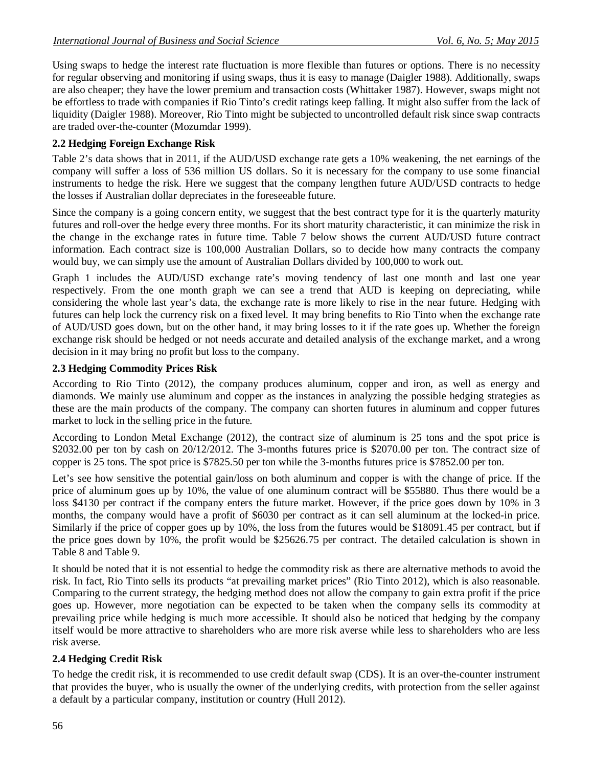Using swaps to hedge the interest rate fluctuation is more flexible than futures or options. There is no necessity for regular observing and monitoring if using swaps, thus it is easy to manage (Daigler 1988). Additionally, swaps are also cheaper; they have the lower premium and transaction costs (Whittaker 1987). However, swaps might not be effortless to trade with companies if Rio Tinto's credit ratings keep falling. It might also suffer from the lack of liquidity (Daigler 1988). Moreover, Rio Tinto might be subjected to uncontrolled default risk since swap contracts are traded over-the-counter (Mozumdar 1999).

### **2.2 Hedging Foreign Exchange Risk**

Table 2's data shows that in 2011, if the AUD/USD exchange rate gets a 10% weakening, the net earnings of the company will suffer a loss of 536 million US dollars. So it is necessary for the company to use some financial instruments to hedge the risk. Here we suggest that the company lengthen future AUD/USD contracts to hedge the losses if Australian dollar depreciates in the foreseeable future.

Since the company is a going concern entity, we suggest that the best contract type for it is the quarterly maturity futures and roll-over the hedge every three months. For its short maturity characteristic, it can minimize the risk in the change in the exchange rates in future time. Table 7 below shows the current AUD/USD future contract information. Each contract size is 100,000 Australian Dollars, so to decide how many contracts the company would buy, we can simply use the amount of Australian Dollars divided by 100,000 to work out.

Graph 1 includes the AUD/USD exchange rate's moving tendency of last one month and last one year respectively. From the one month graph we can see a trend that AUD is keeping on depreciating, while considering the whole last year's data, the exchange rate is more likely to rise in the near future. Hedging with futures can help lock the currency risk on a fixed level. It may bring benefits to Rio Tinto when the exchange rate of AUD/USD goes down, but on the other hand, it may bring losses to it if the rate goes up. Whether the foreign exchange risk should be hedged or not needs accurate and detailed analysis of the exchange market, and a wrong decision in it may bring no profit but loss to the company.

### **2.3 Hedging Commodity Prices Risk**

According to Rio Tinto (2012), the company produces aluminum, copper and iron, as well as energy and diamonds. We mainly use aluminum and copper as the instances in analyzing the possible hedging strategies as these are the main products of the company. The company can shorten futures in aluminum and copper futures market to lock in the selling price in the future.

According to London Metal Exchange (2012), the contract size of aluminum is 25 tons and the spot price is \$2032.00 per ton by cash on 20/12/2012. The 3-months futures price is \$2070.00 per ton. The contract size of copper is 25 tons. The spot price is \$7825.50 per ton while the 3-months futures price is \$7852.00 per ton.

Let's see how sensitive the potential gain/loss on both aluminum and copper is with the change of price. If the price of aluminum goes up by 10%, the value of one aluminum contract will be \$55880. Thus there would be a loss \$4130 per contract if the company enters the future market. However, if the price goes down by 10% in 3 months, the company would have a profit of \$6030 per contract as it can sell aluminum at the locked-in price. Similarly if the price of copper goes up by 10%, the loss from the futures would be \$18091.45 per contract, but if the price goes down by 10%, the profit would be \$25626.75 per contract. The detailed calculation is shown in Table 8 and Table 9.

It should be noted that it is not essential to hedge the commodity risk as there are alternative methods to avoid the risk. In fact, Rio Tinto sells its products "at prevailing market prices" (Rio Tinto 2012), which is also reasonable. Comparing to the current strategy, the hedging method does not allow the company to gain extra profit if the price goes up. However, more negotiation can be expected to be taken when the company sells its commodity at prevailing price while hedging is much more accessible. It should also be noticed that hedging by the company itself would be more attractive to shareholders who are more risk averse while less to shareholders who are less risk averse.

### **2.4 Hedging Credit Risk**

To hedge the credit risk, it is recommended to use credit default swap (CDS). It is an over-the-counter instrument that provides the buyer, who is usually the owner of the underlying credits, with protection from the seller against a default by a particular company, institution or country (Hull 2012).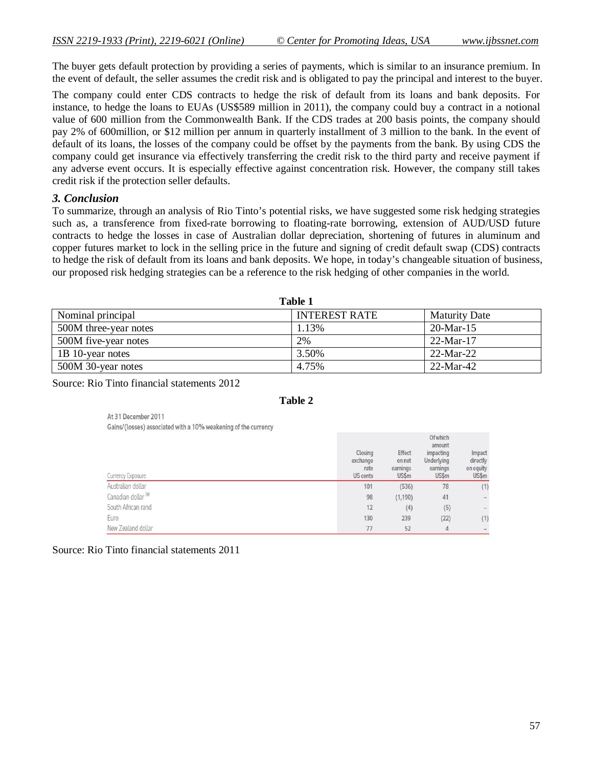$O(n + 1)$ 

The buyer gets default protection by providing a series of payments, which is similar to an insurance premium. In the event of default, the seller assumes the credit risk and is obligated to pay the principal and interest to the buyer.

The company could enter CDS contracts to hedge the risk of default from its loans and bank deposits. For instance, to hedge the loans to EUAs (US\$589 million in 2011), the company could buy a contract in a notional value of 600 million from the Commonwealth Bank. If the CDS trades at 200 basis points, the company should pay 2% of 600million, or \$12 million per annum in quarterly installment of 3 million to the bank. In the event of default of its loans, the losses of the company could be offset by the payments from the bank. By using CDS the company could get insurance via effectively transferring the credit risk to the third party and receive payment if any adverse event occurs. It is especially effective against concentration risk. However, the company still takes credit risk if the protection seller defaults.

### *3. Conclusion*

To summarize, through an analysis of Rio Tinto's potential risks, we have suggested some risk hedging strategies such as, a transference from fixed-rate borrowing to floating-rate borrowing, extension of AUD/USD future contracts to hedge the losses in case of Australian dollar depreciation, shortening of futures in aluminum and copper futures market to lock in the selling price in the future and signing of credit default swap (CDS) contracts to hedge the risk of default from its loans and bank deposits. We hope, in today's changeable situation of business, our proposed risk hedging strategies can be a reference to the risk hedging of other companies in the world.

| Table 1               |                      |                      |  |  |  |
|-----------------------|----------------------|----------------------|--|--|--|
| Nominal principal     | <b>INTEREST RATE</b> | <b>Maturity Date</b> |  |  |  |
| 500M three-year notes | 1.13%                | $20-Mar-15$          |  |  |  |
| 500M five-year notes  | 2%                   | $22-Mar-17$          |  |  |  |
| 1B 10-year notes      | 3.50%                | $22-Mar-22$          |  |  |  |
| 500M 30-year notes    | 4.75%                | $22-Mar-42$          |  |  |  |

**Table 1** 

Source: Rio Tinto financial statements 2012

| abıe |  |
|------|--|
|------|--|

At 31 December 2011 Gains/(losses) associated with a 10% weakening of the currency

| Currency Exposure              | Closing<br>exchange<br>rate<br><b>US cents</b> | <b>Effect</b><br>on net<br>earnings<br>US\$m | <b>UT WRIGHT</b><br>amount<br>impacting<br>Underlying<br>earnings<br>US\$ <sub>m</sub> | Impact<br>directly<br>on equity<br>US\$m |
|--------------------------------|------------------------------------------------|----------------------------------------------|----------------------------------------------------------------------------------------|------------------------------------------|
| Australian dollar              | 101                                            | (536)                                        | 78                                                                                     | (1)                                      |
| Canadian dollar <sup>(a)</sup> | 98                                             | (1, 190)                                     | 41                                                                                     | ۰                                        |
| South African rand             | 12                                             | (4)                                          | (5)                                                                                    | $\qquad \qquad \blacksquare$             |
| Euro                           | 130                                            | 239                                          | (22)                                                                                   | (1)                                      |
| New Zealand dollar             | 77                                             | 52                                           | 4                                                                                      | $\overline{\phantom{a}}$                 |

Source: Rio Tinto financial statements 2011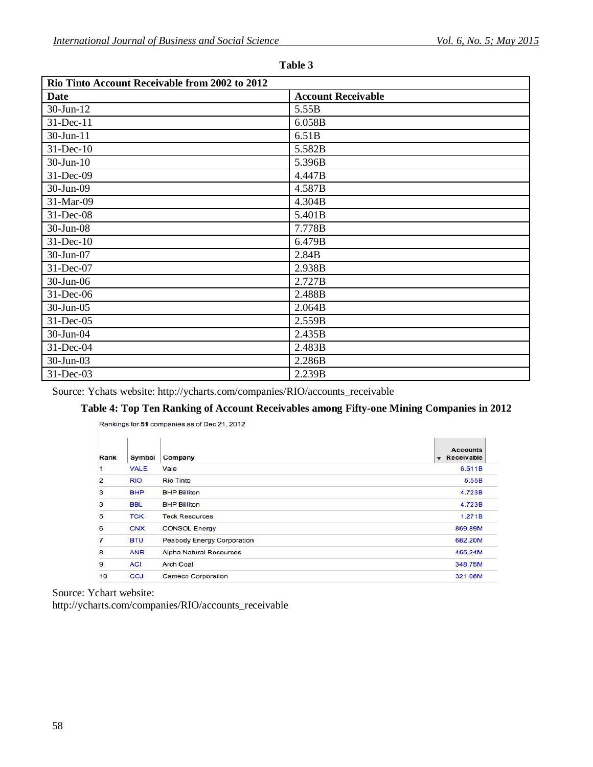| Rio Tinto Account Receivable from 2002 to 2012 |                           |  |  |  |  |
|------------------------------------------------|---------------------------|--|--|--|--|
| <b>Date</b>                                    | <b>Account Receivable</b> |  |  |  |  |
| 30-Jun-12                                      | 5.55B                     |  |  |  |  |
| 31-Dec-11                                      | 6.058B                    |  |  |  |  |
| $30$ -Jun-11                                   | 6.51B                     |  |  |  |  |
| $31$ -Dec-10                                   | 5.582B                    |  |  |  |  |
| $30$ -Jun- $10$                                | 5.396B                    |  |  |  |  |
| 31-Dec-09                                      | 4.447B                    |  |  |  |  |
| 30-Jun-09                                      | 4.587B                    |  |  |  |  |
| 31-Mar-09                                      | 4.304B                    |  |  |  |  |
| $31$ -Dec-08                                   | 5.401B                    |  |  |  |  |
| 30-Jun-08                                      | 7.778B                    |  |  |  |  |
| $31$ -Dec-10                                   | 6.479B                    |  |  |  |  |
| 30-Jun-07                                      | 2.84B                     |  |  |  |  |
| 31-Dec-07                                      | 2.938B                    |  |  |  |  |
| $30$ -Jun-06                                   | 2.727B                    |  |  |  |  |
| 31-Dec-06                                      | 2.488B                    |  |  |  |  |
| 30-Jun-05                                      | 2.064B                    |  |  |  |  |
| 31-Dec-05                                      | 2.559B                    |  |  |  |  |
| 30-Jun-04                                      | 2.435B                    |  |  |  |  |
| 31-Dec-04                                      | 2.483B                    |  |  |  |  |
| 30-Jun-03                                      | 2.286B                    |  |  |  |  |
| 31-Dec-03                                      | 2.239B                    |  |  |  |  |

**Table 3**

Source: Ychats website: http://ycharts.com/companies/RIO/accounts\_receivable

# **Table 4: Top Ten Ranking of Account Receivables among Fifty-one Mining Companies in 2012**

|                |             |                            | <b>Accounts</b>     |
|----------------|-------------|----------------------------|---------------------|
| Rank           | Symbol      | Company                    | <b>v</b> Receivable |
| 1              | <b>VALE</b> | Vale                       | 6.511B              |
| 2              | <b>RIO</b>  | Rio Tinto                  | 5.55B               |
| 3              | <b>BHP</b>  | <b>BHP Billiton</b>        | 4.723B              |
| 3              | <b>BBL</b>  | <b>BHP Billiton</b>        | 4.723B              |
| 5              | <b>TCK</b>  | <b>Teck Resources</b>      | 1.271B              |
| 6              | <b>CNX</b>  | <b>CONSOL Energy</b>       | 869.89M             |
| $\overline{7}$ | <b>BTU</b>  | Peabody Energy Corporation | 682.20M             |
| 8              | <b>ANR</b>  | Alpha Natural Resources    | 455.24M             |
| 9              | <b>ACI</b>  | Arch Coal                  | 348.75M             |
| 10             | <b>CCJ</b>  | <b>Cameco Corporation</b>  | 321.08M             |

Rankings for 51 companies as of Dec 21, 2012

Source: Ychart website:

http://ycharts.com/companies/RIO/accounts\_receivable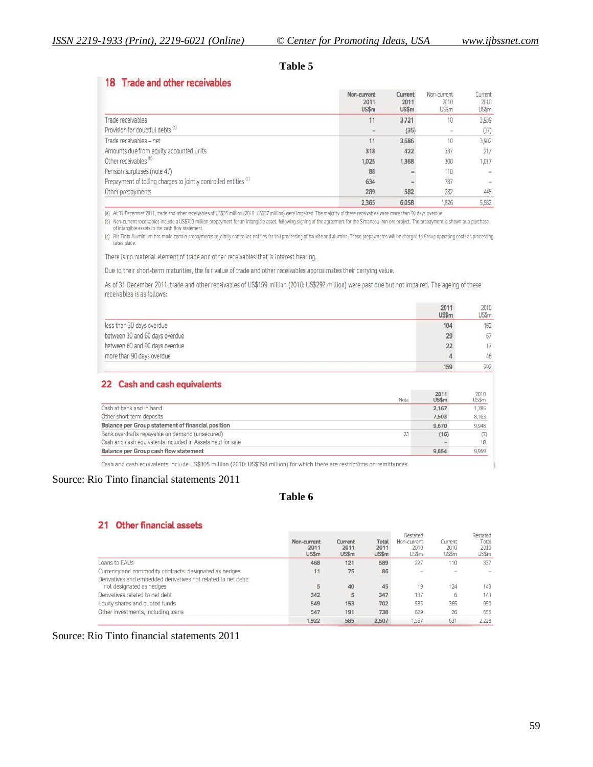### **Table 5**

### 18 Trade and other receivables

|                                                                             | Non-current<br>2011<br>US\$ <sub>m</sub> | Current<br>2011<br>US\$m | Non-current<br>2010<br>US\$m | Current<br>2010<br>US\$m |
|-----------------------------------------------------------------------------|------------------------------------------|--------------------------|------------------------------|--------------------------|
| Trade receivables                                                           | 11                                       | 3,721                    | 10                           | 3,939                    |
| Provision for doubtful debts (a)                                            |                                          | (35)                     | $\sim$                       | (37)                     |
| Trade receivables - net                                                     | 11                                       | 3,686                    | 10                           | 3,902                    |
| Amounts due from equity accounted units                                     | 318                                      | 422                      | 337                          | 217                      |
| Other receivables <sup>(b)</sup>                                            | 1,025                                    | 1,368                    | 300                          | 1,017                    |
| Pension surpluses (note 47)                                                 | 88                                       |                          | 110                          | $\sim$                   |
| Prepayment of tolling charges to jointly controlled entities <sup>(c)</sup> | 634                                      |                          | 787                          |                          |
| Other prepayments                                                           | 289                                      | 582                      | 282                          | 446                      |
|                                                                             | 2.365                                    | 6,058                    | 1,826                        | 5.582                    |

(a) At 31 December 2011, trade and other receivables of US\$35 million (2010: US\$37 million) were impaired. The majority of these receivables were more than 90 days overdue.

(b) Non-current receivables include a US\$700 million prepayment for an intangible asset, following signing of the agreement for the Simandou iron ore project. The prepayment is shown as a purchase of intangible assets in the cash flow statement.

(c) Rio Tinto Aluminium has made certain prepayments to jointly controlled entities for toll processing of bauxite and alumina. These prepayments will be charged to Group operating costs as processing takes place.

There is no material element of trade and other receivables that is interest bearing.

Due to their short-term maturities, the fair value of trade and other receivables approximates their carrying value.

As of 31 December 2011, trade and other receivables of US\$159 million (2010: US\$292 million) were past due but not impaired. The ageing of these receivables is as follows:

|                                | 2011<br>US\$m | 2010<br>US\$m |
|--------------------------------|---------------|---------------|
| less than 30 days overdue      | 104           | 162           |
| between 30 and 60 days overdue | 29            | 67            |
| between 60 and 90 days overdue | 22            |               |
| more than 90 days overdue      |               | 46            |
|                                | 159           | 292           |

#### 22 Cash and cash equivalents

| Note                                                       | 2011<br>US\$m | 2010<br>US\$m |
|------------------------------------------------------------|---------------|---------------|
| Cash at bank and in hand                                   | 2.167         | 1.785         |
| Other short term deposits                                  | 7,503         | 8,163         |
| Balance per Group statement of financial position          | 9,670         | 9.948         |
| Bank overdrafts repavable on demand (unsecured)<br>23      | (16)          | (7)           |
| Cash and cash equivalents included in Assets held for sale |               | 18            |
| <b>Balance per Group cash flow statement</b>               | 9.654         | 9,959         |

Cash and cash equivalents include US\$305 million (2010: US\$398 million) for which there are restrictions on remittances.

#### Source: Rio Tinto financial statements 2011

### **Table 6**

#### 21 Other financial assets

|                                                                                           | Non-current<br>2011<br>US\$m | Current<br>2011<br>US\$m | Total<br>2011<br>US\$m | Resided<br>Non-current<br>2010<br>US\$m | Current<br>2010<br><b>US\$m</b> | Residied<br>Total<br>2010<br>US\$m |
|-------------------------------------------------------------------------------------------|------------------------------|--------------------------|------------------------|-----------------------------------------|---------------------------------|------------------------------------|
| Loans to EAUs                                                                             | 468                          | 121                      | 589                    | 227                                     | 110                             | 337                                |
| Currency and commodity contracts: designated as hedges                                    | 11                           | 75                       | 86                     |                                         | ÷                               |                                    |
| Derivatives and embedded derivatives not related to net debt:<br>not designated as hedges | 5                            | 40                       | 45                     | 19                                      | 24                              | 143                                |
| Derivatives related to net debt                                                           | 342                          | 5                        | 347                    | 137                                     | 6                               | 143                                |
| Equity shares and quoted funds                                                            | 549                          | 153                      | 702                    | 585                                     | 365                             | 950                                |
| Other investments, including loans                                                        | 547                          | 191                      | 738                    | 629                                     | 26                              | 655                                |
|                                                                                           | .922                         | 585                      | 2,507                  | .597                                    | 631                             | 2.228                              |

### Source: Rio Tinto financial statements 2011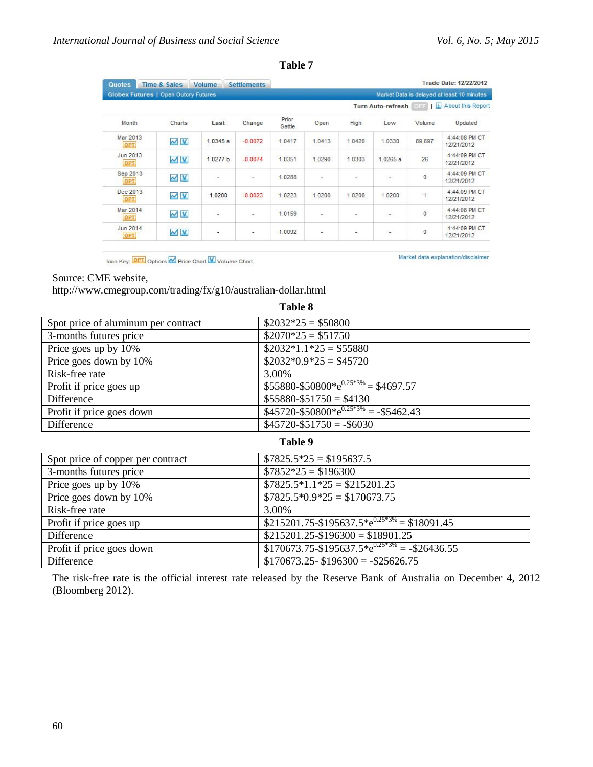| <b>Quotes</b>                        | Time & Sales      | Volume   | <b>Settlements</b>       |                 |        |                          |                   |               | Trade Date: 12/22/2012                     |
|--------------------------------------|-------------------|----------|--------------------------|-----------------|--------|--------------------------|-------------------|---------------|--------------------------------------------|
| Globex Futures   Open Outcry Futures |                   |          |                          |                 |        |                          |                   |               | Market Data is delayed at least 10 minutes |
|                                      |                   |          |                          |                 |        |                          | Turn Auto-refresh | 1 <br>OFF     | About this Report                          |
| Month                                | Charts            | Last     | Change                   | Prior<br>Settle | Open   | High                     | Low               | Volume        | Updated                                    |
| Mar 2013<br>OPT                      | $\sim$ $\vee$     | 1.0345a  | $-0.0072$                | 1.0417          | 1.0413 | 1.0420                   | 1.0330            | 89,697        | 4:44:08 PM CT<br>12/21/2012                |
| Jun 2013<br>OPT                      | $\sim$ $\sqrt{v}$ | 1.0277 b | $-0.0074$                | 1.0351          | 1.0290 | 1.0303                   | 1.0265 a          | 26            | 4:44:09 PM CT<br>12/21/2012                |
| Sep 2013<br>OPT.                     | $\sim$ $\sqrt{v}$ | ۰        | ٠                        | 1.0288          | ٠      | ÷                        | $\omega$          | $\mathbf{0}$  | 4:44:09 PM CT<br>12/21/2012                |
| Dec 2013<br>OPT                      | $M$ <sub>V</sub>  | 1.0200   | $-0.0023$                | 1.0223          | 1.0200 | 1.0200                   | 1.0200            | $\mathbf{1}$  | 4:44:09 PM CT<br>12/21/2012                |
| Mar 2014<br><b>OPT</b>               | $\sim$ $\sqrt{V}$ | -        | $\overline{\phantom{a}}$ | 1.0159          | ÷      | -                        | $\sim$            | $\mathfrak o$ | 4:44:08 PM CT<br>12/21/2012                |
| Jun 2014<br>OPT                      | $\sim$ $\sqrt{v}$ | ٠        | ٠                        | 1.0092          | u      | $\overline{\phantom{a}}$ | $\sim$            | 0             | 4:44:09 PM CT<br>12/21/2012                |
|                                      |                   |          |                          |                 |        |                          |                   |               |                                            |

**Table 7**

Icon Key: OPT Options M Price Chart V Volume Chart

Market data explanation/disclaimer

#### Source: CME website,

http://www.cmegroup.com/trading/fx/g10/australian-dollar.html

|                                     | таше о                                                |
|-------------------------------------|-------------------------------------------------------|
| Spot price of aluminum per contract | $$2032*25 = $50800$                                   |
| 3-months futures price              | $$2070*25 = $51750$                                   |
| Price goes up by 10%                | $$2032*1.1*25 = $55880$                               |
| Price goes down by 10%              | $$2032*0.9*25 = $45720$                               |
| Risk-free rate                      | 3.00%                                                 |
| Profit if price goes up             | $$55880 - $50800^* e^{0.25*3\%} = $4697.57$           |
| Difference                          | $$55880 - $51750 = $4130$                             |
| Profit if price goes down           | $$45720 - $50800^* e^{0.25*3\%} = - $5462.43$         |
| Difference                          | $$45720 - $51750 = -\$6030$                           |
|                                     | Table 9                                               |
| Spot price of copper per contract   | $$7825.5*25 = $195637.5$                              |
| 3-months futures price              | $$7852*25 = $196300$                                  |
| Price goes up by 10%                | $$7825.5*1.1*25 = $215201.25$                         |
| Price goes down by 10%              | $$7825.5*0.9*25 = $170673.75$                         |
| Risk-free rate                      | 3.00%                                                 |
| Profit if price goes up             | $$215201.75 - $195637.5^* e^{0.25*3\%} = $18091.45$   |
| Difference                          | $$215201.25 - $196300 = $18901.25$                    |
| Profit if price goes down           | $$170673.75 - $195637.5^* e^{0.25*3\%} = - $26436.55$ |
| Difference                          | $$170673.25 - $196300 = -$25626.75$                   |

The risk-free rate is the official interest rate released by the Reserve Bank of Australia on December 4, 2012 (Bloomberg 2012).

## **Table 8**